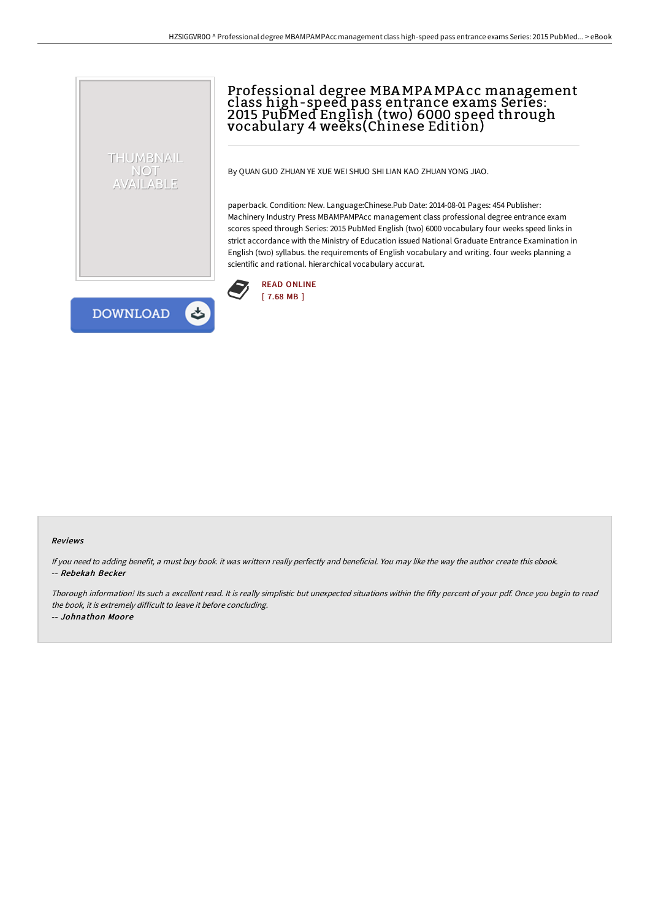## Professional degree MBAMPAMPA cc management class high-speed pass entrance exams Series: 2015 PubMed English (two) 6000 speed through vocabulary 4 weeks(Chinese Edition)

By QUAN GUO ZHUAN YE XUE WEI SHUO SHI LIAN KAO ZHUAN YONG JIAO.

paperback. Condition: New. Language:Chinese.Pub Date: 2014-08-01 Pages: 454 Publisher: Machinery Industry Press MBAMPAMPAcc management class professional degree entrance exam scores speed through Series: 2015 PubMed English (two) 6000 vocabulary four weeks speed links in strict accordance with the Ministry of Education issued National Graduate Entrance Examination in English (two) syllabus. the requirements of English vocabulary and writing. four weeks planning a scientific and rational. hierarchical vocabulary accurat.



**DOWNLOAD** 

 $\rightarrow$ 

THUMBNAIL NOT AVAILABLE

## Reviews

If you need to adding benefit, <sup>a</sup> must buy book. it was writtern really perfectly and beneficial. You may like the way the author create this ebook. -- Rebekah Becker

Thorough information! Its such a excellent read. It is really simplistic but unexpected situations within the fifty percent of your pdf. Once you begin to read the book, it is extremely difficult to leave it before concluding.

-- Johnathon Moore